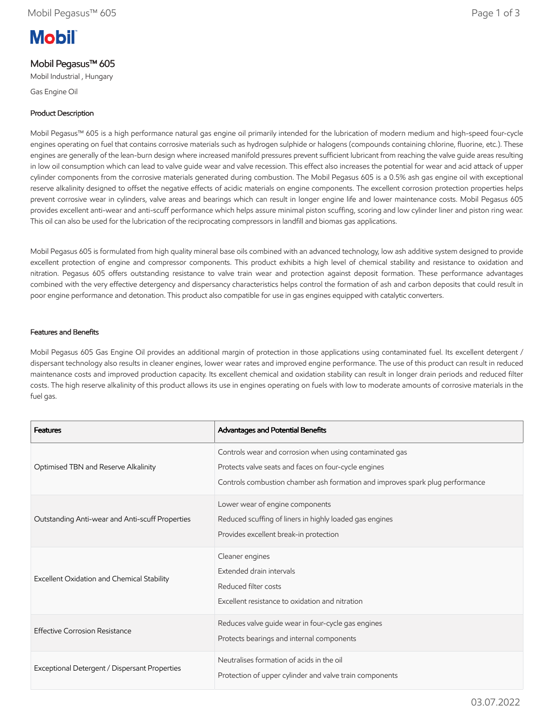# **Mobil**

# Mobil Pegasus™ 605

Mobil Industrial , Hungary

Gas Engine Oil

# Product Description

Mobil Pegasus™ 605 is a high performance natural gas engine oil primarily intended for the lubrication of modern medium and high-speed four-cycle engines operating on fuel that contains corrosive materials such as hydrogen sulphide or halogens (compounds containing chlorine, fluorine, etc.). These engines are generally of the lean-burn design where increased manifold pressures prevent sufficient lubricant from reaching the valve guide areas resulting in low oil consumption which can lead to valve guide wear and valve recession. This effect also increases the potential for wear and acid attack of upper cylinder components from the corrosive materials generated during combustion. The Mobil Pegasus 605 is a 0.5% ash gas engine oil with exceptional reserve alkalinity designed to offset the negative effects of acidic materials on engine components. The excellent corrosion protection properties helps prevent corrosive wear in cylinders, valve areas and bearings which can result in longer engine life and lower maintenance costs. Mobil Pegasus 605 provides excellent anti-wear and anti-scuff performance which helps assure minimal piston scuffing, scoring and low cylinder liner and piston ring wear. This oil can also be used for the lubrication of the reciprocating compressors in landfill and biomas gas applications.

Mobil Pegasus 605 is formulated from high quality mineral base oils combined with an advanced technology, low ash additive system designed to provide excellent protection of engine and compressor components. This product exhibits a high level of chemical stability and resistance to oxidation and nitration. Pegasus 605 offers outstanding resistance to valve train wear and protection against deposit formation. These performance advantages combined with the very effective detergency and dispersancy characteristics helps control the formation of ash and carbon deposits that could result in poor engine performance and detonation. This product also compatible for use in gas engines equipped with catalytic converters.

# Features and Benefits

Mobil Pegasus 605 Gas Engine Oil provides an additional margin of protection in those applications using contaminated fuel. Its excellent detergent / dispersant technology also results in cleaner engines, lower wear rates and improved engine performance. The use of this product can result in reduced maintenance costs and improved production capacity. Its excellent chemical and oxidation stability can result in longer drain periods and reduced filter costs. The high reserve alkalinity of this product allows its use in engines operating on fuels with low to moderate amounts of corrosive materials in the fuel gas.

| <b>Features</b>                                 | Advantages and Potential Benefits                                                                                                                                                                |
|-------------------------------------------------|--------------------------------------------------------------------------------------------------------------------------------------------------------------------------------------------------|
| Optimised TBN and Reserve Alkalinity            | Controls wear and corrosion when using contaminated gas<br>Protects valve seats and faces on four-cycle engines<br>Controls combustion chamber ash formation and improves spark plug performance |
| Outstanding Anti-wear and Anti-scuff Properties | Lower wear of engine components<br>Reduced scuffing of liners in highly loaded gas engines<br>Provides excellent break-in protection                                                             |
| Excellent Oxidation and Chemical Stability      | Cleaner engines<br>Extended drain intervals<br>Reduced filter costs<br>Excellent resistance to oxidation and nitration                                                                           |
| <b>Effective Corrosion Resistance</b>           | Reduces valve guide wear in four-cycle gas engines<br>Protects bearings and internal components                                                                                                  |
| Exceptional Detergent / Dispersant Properties   | Neutralises formation of acids in the oil<br>Protection of upper cylinder and valve train components                                                                                             |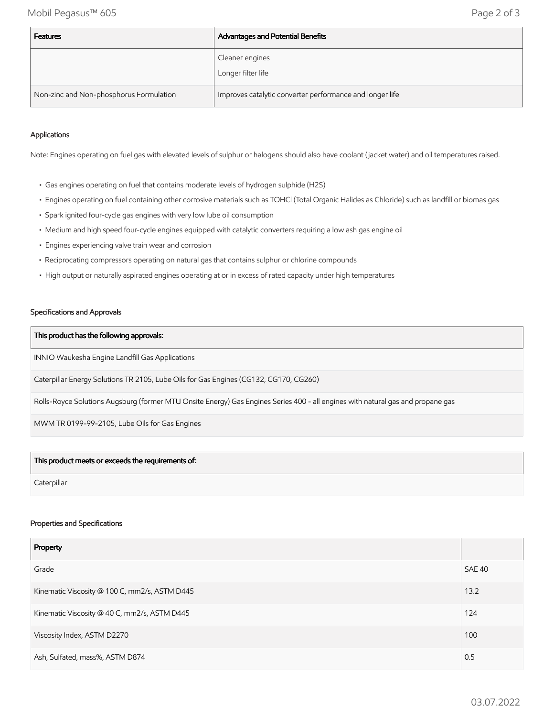Mobil Pegasus™ 605 Page 2 of 3

| <b>Features</b>                         | Advantages and Potential Benefits                        |
|-----------------------------------------|----------------------------------------------------------|
|                                         | Cleaner engines<br>Longer filter life                    |
| Non-zinc and Non-phosphorus Formulation | Improves catalytic converter performance and longer life |

### Applications

Note: Engines operating on fuel gas with elevated levels of sulphur or halogens should also have coolant (jacket water) and oil temperatures raised.

- Gas engines operating on fuel that contains moderate levels of hydrogen sulphide (H2S)
- Engines operating on fuel containing other corrosive materials such as TOHCl (Total Organic Halides as Chloride) such as landfill or biomas gas
- Spark ignited four-cycle gas engines with very low lube oil consumption
- Medium and high speed four-cycle engines equipped with catalytic converters requiring a low ash gas engine oil
- Engines experiencing valve train wear and corrosion
- Reciprocating compressors operating on natural gas that contains sulphur or chlorine compounds
- High output or naturally aspirated engines operating at or in excess of rated capacity under high temperatures

#### Specifications and Approvals

#### This product has the following approvals:

INNIO Waukesha Engine Landfill Gas Applications

Caterpillar Energy Solutions TR 2105, Lube Oils for Gas Engines (CG132, CG170, CG260)

Rolls-Royce Solutions Augsburg (former MTU Onsite Energy) Gas Engines Series 400 - all engines with natural gas and propane gas

MWM TR 0199-99-2105, Lube Oils for Gas Engines

#### This product meets or exceeds the requirements of:

**Caterpillar** 

#### Properties and Specifications

| Property                                      |        |
|-----------------------------------------------|--------|
| Grade                                         | SAE 40 |
| Kinematic Viscosity @ 100 C, mm2/s, ASTM D445 | 13.2   |
| Kinematic Viscosity @ 40 C, mm2/s, ASTM D445  | 124    |
| Viscosity Index, ASTM D2270                   | 100    |
| Ash, Sulfated, mass%, ASTM D874               | 0.5    |